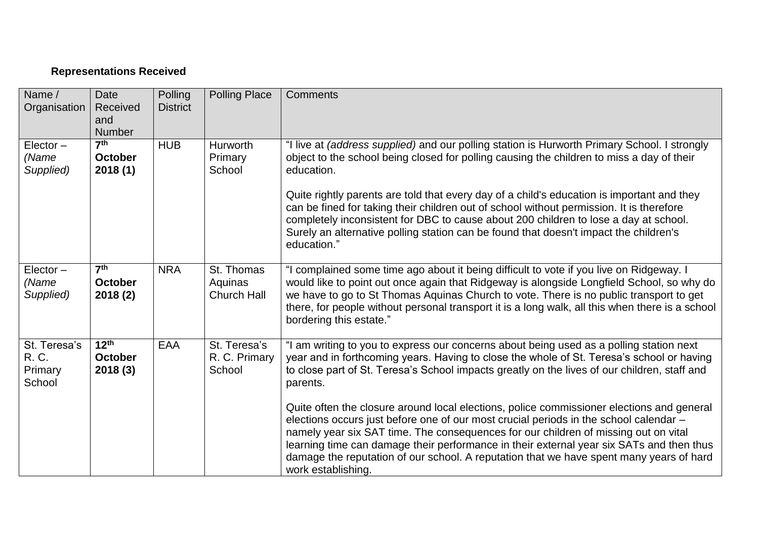## **Representations Received**

| Name /<br>Organisation                     | Date<br>Received<br>and<br>Number            | Polling<br><b>District</b> | <b>Polling Place</b>                        | <b>Comments</b>                                                                                                                                                                                                                                                                                                                                                                                                                                                                                                                                                                                                                                                                                                                                                                            |
|--------------------------------------------|----------------------------------------------|----------------------------|---------------------------------------------|--------------------------------------------------------------------------------------------------------------------------------------------------------------------------------------------------------------------------------------------------------------------------------------------------------------------------------------------------------------------------------------------------------------------------------------------------------------------------------------------------------------------------------------------------------------------------------------------------------------------------------------------------------------------------------------------------------------------------------------------------------------------------------------------|
| $Elector -$<br>(Name<br>Supplied)          | 7 <sup>th</sup><br><b>October</b><br>2018(1) | <b>HUB</b>                 | Hurworth<br>Primary<br>School               | "I live at (address supplied) and our polling station is Hurworth Primary School. I strongly<br>object to the school being closed for polling causing the children to miss a day of their<br>education.<br>Quite rightly parents are told that every day of a child's education is important and they<br>can be fined for taking their children out of school without permission. It is therefore<br>completely inconsistent for DBC to cause about 200 children to lose a day at school.<br>Surely an alternative polling station can be found that doesn't impact the children's<br>education."                                                                                                                                                                                          |
| $Elector -$<br>(Name<br>Supplied)          | 7 <sup>th</sup><br><b>October</b><br>2018(2) | <b>NRA</b>                 | St. Thomas<br>Aquinas<br><b>Church Hall</b> | "I complained some time ago about it being difficult to vote if you live on Ridgeway. I<br>would like to point out once again that Ridgeway is alongside Longfield School, so why do<br>we have to go to St Thomas Aquinas Church to vote. There is no public transport to get<br>there, for people without personal transport it is a long walk, all this when there is a school<br>bordering this estate."                                                                                                                                                                                                                                                                                                                                                                               |
| St. Teresa's<br>R. C.<br>Primary<br>School | $12^{th}$<br><b>October</b><br>2018(3)       | EAA                        | St. Teresa's<br>R. C. Primary<br>School     | "I am writing to you to express our concerns about being used as a polling station next<br>year and in forthcoming years. Having to close the whole of St. Teresa's school or having<br>to close part of St. Teresa's School impacts greatly on the lives of our children, staff and<br>parents.<br>Quite often the closure around local elections, police commissioner elections and general<br>elections occurs just before one of our most crucial periods in the school calendar -<br>namely year six SAT time. The consequences for our children of missing out on vital<br>learning time can damage their performance in their external year six SATs and then thus<br>damage the reputation of our school. A reputation that we have spent many years of hard<br>work establishing. |